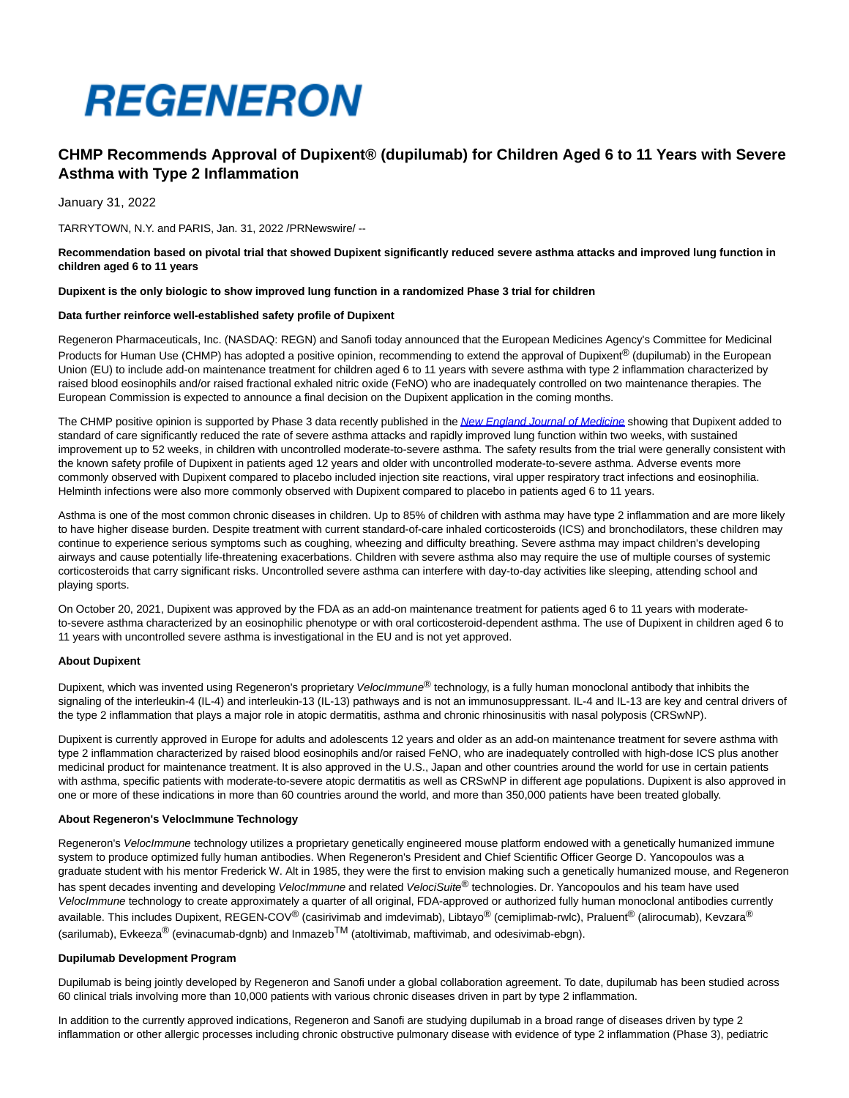# **REGENERON**

## **CHMP Recommends Approval of Dupixent® (dupilumab) for Children Aged 6 to 11 Years with Severe Asthma with Type 2 Inflammation**

January 31, 2022

TARRYTOWN, N.Y. and PARIS, Jan. 31, 2022 /PRNewswire/ --

**Recommendation based on pivotal trial that showed Dupixent significantly reduced severe asthma attacks and improved lung function in children aged 6 to 11 years**

#### **Dupixent is the only biologic to show improved lung function in a randomized Phase 3 trial for children**

## **Data further reinforce well-established safety profile of Dupixent**

Regeneron Pharmaceuticals, Inc. (NASDAQ: REGN) and Sanofi today announced that the European Medicines Agency's Committee for Medicinal Products for Human Use (CHMP) has adopted a positive opinion, recommending to extend the approval of Dupixent<sup>®</sup> (dupilumab) in the European Union (EU) to include add-on maintenance treatment for children aged 6 to 11 years with severe asthma with type 2 inflammation characterized by raised blood eosinophils and/or raised fractional exhaled nitric oxide (FeNO) who are inadequately controlled on two maintenance therapies. The European Commission is expected to announce a final decision on the Dupixent application in the coming months.

The CHMP positive opinion is supported by Phase 3 data recently published in the [New England Journal of Medicine](https://c212.net/c/link/?t=0&l=en&o=3426920-1&h=3314556983&u=https%3A%2F%2Finvestor.regeneron.com%2Fnews-releases%2Fnews-release-details%2Fnew-england-journal-medicine-publishes-positive-phase-3-0&a=New+England+Journal+of+Medicine) showing that Dupixent added to standard of care significantly reduced the rate of severe asthma attacks and rapidly improved lung function within two weeks, with sustained improvement up to 52 weeks, in children with uncontrolled moderate-to-severe asthma. The safety results from the trial were generally consistent with the known safety profile of Dupixent in patients aged 12 years and older with uncontrolled moderate-to-severe asthma. Adverse events more commonly observed with Dupixent compared to placebo included injection site reactions, viral upper respiratory tract infections and eosinophilia. Helminth infections were also more commonly observed with Dupixent compared to placebo in patients aged 6 to 11 years.

Asthma is one of the most common chronic diseases in children. Up to 85% of children with asthma may have type 2 inflammation and are more likely to have higher disease burden. Despite treatment with current standard-of-care inhaled corticosteroids (ICS) and bronchodilators, these children may continue to experience serious symptoms such as coughing, wheezing and difficulty breathing. Severe asthma may impact children's developing airways and cause potentially life-threatening exacerbations. Children with severe asthma also may require the use of multiple courses of systemic corticosteroids that carry significant risks. Uncontrolled severe asthma can interfere with day-to-day activities like sleeping, attending school and playing sports.

On October 20, 2021, Dupixent was approved by the FDA as an add-on maintenance treatment for patients aged 6 to 11 years with moderateto-severe asthma characterized by an eosinophilic phenotype or with oral corticosteroid-dependent asthma. The use of Dupixent in children aged 6 to 11 years with uncontrolled severe asthma is investigational in the EU and is not yet approved.

### **About Dupixent**

Dupixent, which was invented using Regeneron's proprietary Veloclmmune<sup>®</sup> technology, is a fully human monoclonal antibody that inhibits the signaling of the interleukin-4 (IL-4) and interleukin-13 (IL-13) pathways and is not an immunosuppressant. IL-4 and IL-13 are key and central drivers of the type 2 inflammation that plays a major role in atopic dermatitis, asthma and chronic rhinosinusitis with nasal polyposis (CRSwNP).

Dupixent is currently approved in Europe for adults and adolescents 12 years and older as an add-on maintenance treatment for severe asthma with type 2 inflammation characterized by raised blood eosinophils and/or raised FeNO, who are inadequately controlled with high-dose ICS plus another medicinal product for maintenance treatment. It is also approved in the U.S., Japan and other countries around the world for use in certain patients with asthma, specific patients with moderate-to-severe atopic dermatitis as well as CRSwNP in different age populations. Dupixent is also approved in one or more of these indications in more than 60 countries around the world, and more than 350,000 patients have been treated globally.

#### **About Regeneron's VelocImmune Technology**

Regeneron's VelocImmune technology utilizes a proprietary genetically engineered mouse platform endowed with a genetically humanized immune system to produce optimized fully human antibodies. When Regeneron's President and Chief Scientific Officer George D. Yancopoulos was a graduate student with his mentor Frederick W. Alt in 1985, they were the first to envision making such a genetically humanized mouse, and Regeneron has spent decades inventing and developing VelocImmune and related VelociSuite® technologies. Dr. Yancopoulos and his team have used VelocImmune technology to create approximately a quarter of all original, FDA-approved or authorized fully human monoclonal antibodies currently available. This includes Dupixent, REGEN-COV® (casirivimab and imdevimab), Libtayo<sup>®</sup> (cemiplimab-rwlc), Praluent<sup>®</sup> (alirocumab), Kevzara<sup>®</sup> (sarilumab), Evkeeza $^{\circledR}$  (evinacumab-danb) and Inmazeb<sup>TM</sup> (atoltivimab, maftivimab, and odesivimab-eban).

#### **Dupilumab Development Program**

Dupilumab is being jointly developed by Regeneron and Sanofi under a global collaboration agreement. To date, dupilumab has been studied across 60 clinical trials involving more than 10,000 patients with various chronic diseases driven in part by type 2 inflammation.

In addition to the currently approved indications, Regeneron and Sanofi are studying dupilumab in a broad range of diseases driven by type 2 inflammation or other allergic processes including chronic obstructive pulmonary disease with evidence of type 2 inflammation (Phase 3), pediatric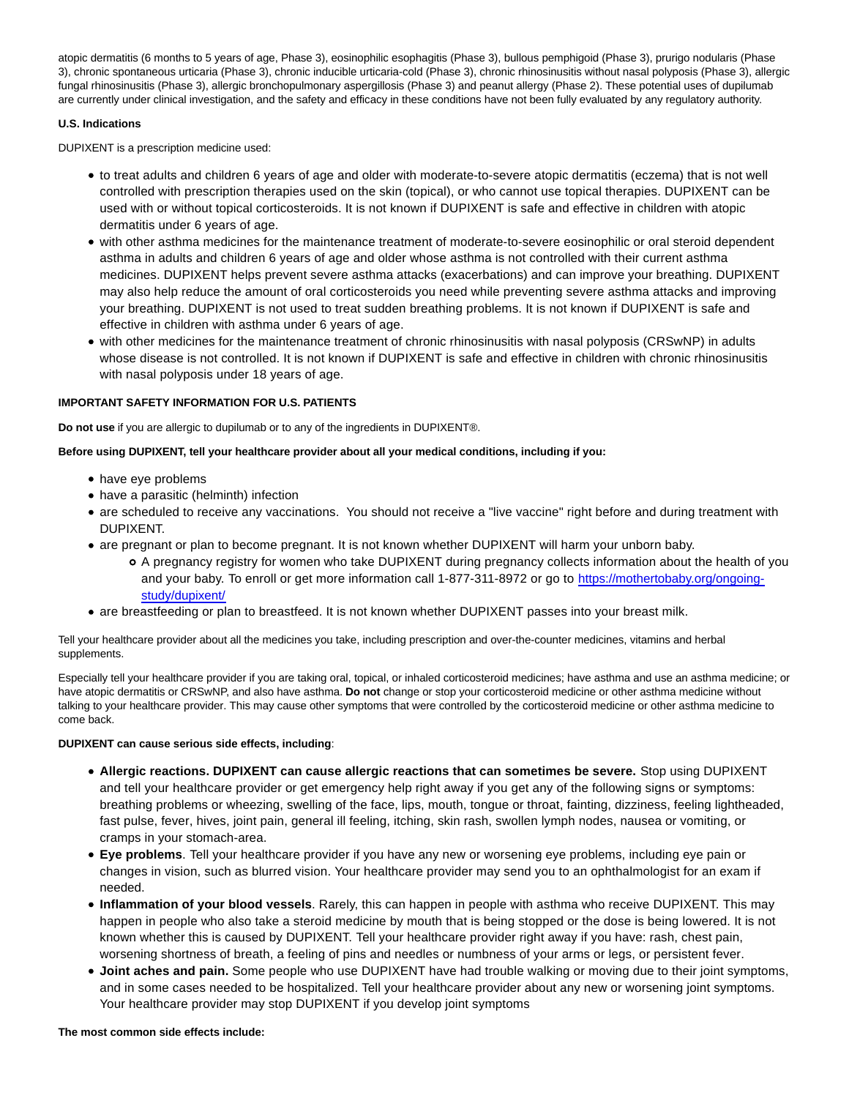atopic dermatitis (6 months to 5 years of age, Phase 3), eosinophilic esophagitis (Phase 3), bullous pemphigoid (Phase 3), prurigo nodularis (Phase 3), chronic spontaneous urticaria (Phase 3), chronic inducible urticaria-cold (Phase 3), chronic rhinosinusitis without nasal polyposis (Phase 3), allergic fungal rhinosinusitis (Phase 3), allergic bronchopulmonary aspergillosis (Phase 3) and peanut allergy (Phase 2). These potential uses of dupilumab are currently under clinical investigation, and the safety and efficacy in these conditions have not been fully evaluated by any regulatory authority.

## **U.S. Indications**

DUPIXENT is a prescription medicine used:

- to treat adults and children 6 years of age and older with moderate-to-severe atopic dermatitis (eczema) that is not well controlled with prescription therapies used on the skin (topical), or who cannot use topical therapies. DUPIXENT can be used with or without topical corticosteroids. It is not known if DUPIXENT is safe and effective in children with atopic dermatitis under 6 years of age.
- with other asthma medicines for the maintenance treatment of moderate-to-severe eosinophilic or oral steroid dependent asthma in adults and children 6 years of age and older whose asthma is not controlled with their current asthma medicines. DUPIXENT helps prevent severe asthma attacks (exacerbations) and can improve your breathing. DUPIXENT may also help reduce the amount of oral corticosteroids you need while preventing severe asthma attacks and improving your breathing. DUPIXENT is not used to treat sudden breathing problems. It is not known if DUPIXENT is safe and effective in children with asthma under 6 years of age.
- with other medicines for the maintenance treatment of chronic rhinosinusitis with nasal polyposis (CRSwNP) in adults whose disease is not controlled. It is not known if DUPIXENT is safe and effective in children with chronic rhinosinusitis with nasal polyposis under 18 years of age.

## **IMPORTANT SAFETY INFORMATION FOR U.S. PATIENTS**

**Do not use** if you are allergic to dupilumab or to any of the ingredients in DUPIXENT®.

## **Before using DUPIXENT, tell your healthcare provider about all your medical conditions, including if you:**

- have eye problems
- have a parasitic (helminth) infection
- are scheduled to receive any vaccinations. You should not receive a "live vaccine" right before and during treatment with DUPIXENT.
- are pregnant or plan to become pregnant. It is not known whether DUPIXENT will harm your unborn baby.
	- A pregnancy registry for women who take DUPIXENT during pregnancy collects information about the health of you and your baby. To enroll or get more information call 1-877-311-8972 or go to [https://mothertobaby.org/ongoing](https://c212.net/c/link/?t=0&l=en&o=3426920-1&h=992975168&u=https%3A%2F%2Fmothertobaby.org%2Fongoing-study%2Fdupixent%2F&a=https%3A%2F%2Fmothertobaby.org%2Fongoing-study%2Fdupixent%2F)study/dupixent/
- are breastfeeding or plan to breastfeed. It is not known whether DUPIXENT passes into your breast milk.

Tell your healthcare provider about all the medicines you take, including prescription and over-the-counter medicines, vitamins and herbal supplements.

Especially tell your healthcare provider if you are taking oral, topical, or inhaled corticosteroid medicines; have asthma and use an asthma medicine; or have atopic dermatitis or CRSwNP, and also have asthma. **Do not** change or stop your corticosteroid medicine or other asthma medicine without talking to your healthcare provider. This may cause other symptoms that were controlled by the corticosteroid medicine or other asthma medicine to come back.

### **DUPIXENT can cause serious side effects, including**:

- **Allergic reactions. DUPIXENT can cause allergic reactions that can sometimes be severe.** Stop using DUPIXENT and tell your healthcare provider or get emergency help right away if you get any of the following signs or symptoms: breathing problems or wheezing, swelling of the face, lips, mouth, tongue or throat, fainting, dizziness, feeling lightheaded, fast pulse, fever, hives, joint pain, general ill feeling, itching, skin rash, swollen lymph nodes, nausea or vomiting, or cramps in your stomach-area.
- **Eye problems**. Tell your healthcare provider if you have any new or worsening eye problems, including eye pain or changes in vision, such as blurred vision. Your healthcare provider may send you to an ophthalmologist for an exam if needed.
- **Inflammation of your blood vessels**. Rarely, this can happen in people with asthma who receive DUPIXENT. This may happen in people who also take a steroid medicine by mouth that is being stopped or the dose is being lowered. It is not known whether this is caused by DUPIXENT. Tell your healthcare provider right away if you have: rash, chest pain, worsening shortness of breath, a feeling of pins and needles or numbness of your arms or legs, or persistent fever.
- **Joint aches and pain.** Some people who use DUPIXENT have had trouble walking or moving due to their joint symptoms, and in some cases needed to be hospitalized. Tell your healthcare provider about any new or worsening joint symptoms. Your healthcare provider may stop DUPIXENT if you develop joint symptoms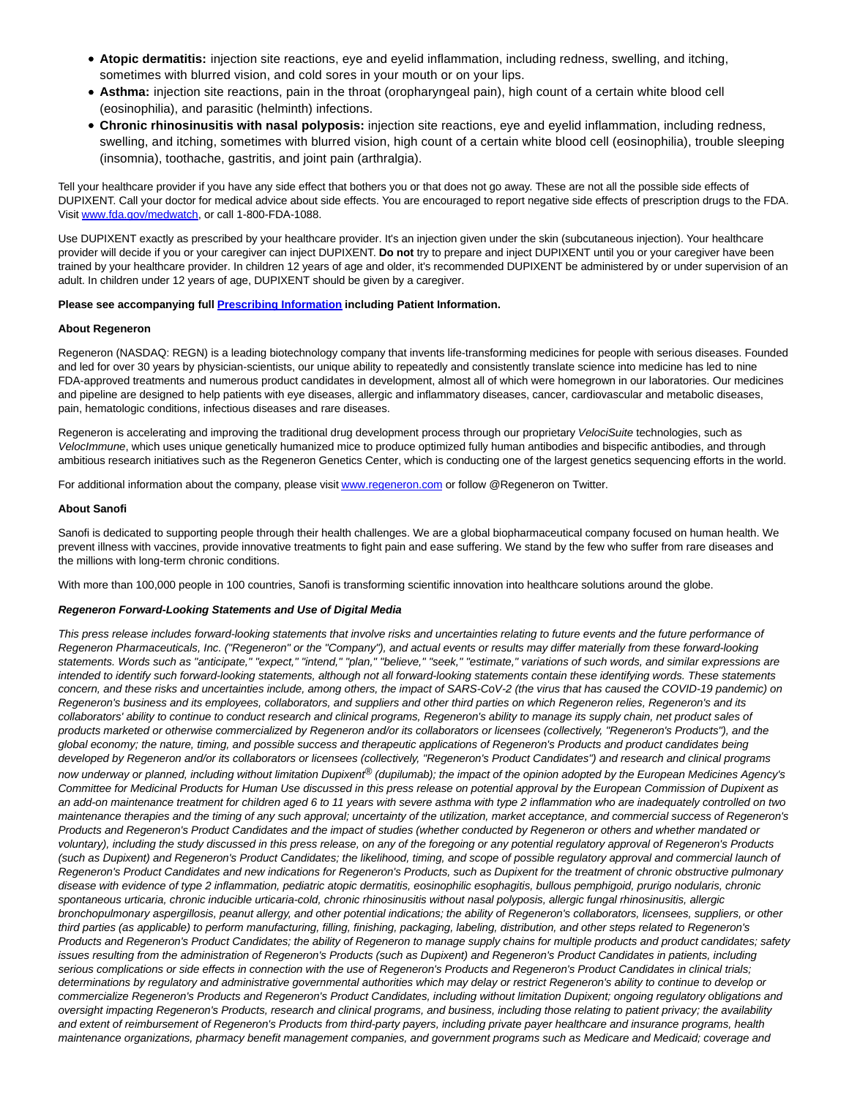- **Atopic dermatitis:** injection site reactions, eye and eyelid inflammation, including redness, swelling, and itching, sometimes with blurred vision, and cold sores in your mouth or on your lips.
- **Asthma:** injection site reactions, pain in the throat (oropharyngeal pain), high count of a certain white blood cell (eosinophilia), and parasitic (helminth) infections.
- **Chronic rhinosinusitis with nasal polyposis:** injection site reactions, eye and eyelid inflammation, including redness, swelling, and itching, sometimes with blurred vision, high count of a certain white blood cell (eosinophilia), trouble sleeping (insomnia), toothache, gastritis, and joint pain (arthralgia).

Tell your healthcare provider if you have any side effect that bothers you or that does not go away. These are not all the possible side effects of DUPIXENT. Call your doctor for medical advice about side effects. You are encouraged to report negative side effects of prescription drugs to the FDA. Visit [www.fda.gov/medwatch,](https://c212.net/c/link/?t=0&l=en&o=3426920-1&h=355517642&u=https%3A%2F%2Fwww.fda.gov%2Fmedwatch&a=www.fda.gov%2Fmedwatch) or call 1-800-FDA-1088.

Use DUPIXENT exactly as prescribed by your healthcare provider. It's an injection given under the skin (subcutaneous injection). Your healthcare provider will decide if you or your caregiver can inject DUPIXENT. **Do not** try to prepare and inject DUPIXENT until you or your caregiver have been trained by your healthcare provider. In children 12 years of age and older, it's recommended DUPIXENT be administered by or under supervision of an adult. In children under 12 years of age, DUPIXENT should be given by a caregiver.

## **Please see accompanying full [Prescribing Information](https://c212.net/c/link/?t=0&l=en&o=3426920-1&h=2856300199&u=https%3A%2F%2Fwww.regeneron.com%2Fsites%2Fdefault%2Ffiles%2FDupixent_FPI.pdf&a=Prescribing+Information) including Patient Information.**

#### **About Regeneron**

Regeneron (NASDAQ: REGN) is a leading biotechnology company that invents life-transforming medicines for people with serious diseases. Founded and led for over 30 years by physician-scientists, our unique ability to repeatedly and consistently translate science into medicine has led to nine FDA-approved treatments and numerous product candidates in development, almost all of which were homegrown in our laboratories. Our medicines and pipeline are designed to help patients with eye diseases, allergic and inflammatory diseases, cancer, cardiovascular and metabolic diseases, pain, hematologic conditions, infectious diseases and rare diseases.

Regeneron is accelerating and improving the traditional drug development process through our proprietary VelociSuite technologies, such as VelocImmune, which uses unique genetically humanized mice to produce optimized fully human antibodies and bispecific antibodies, and through ambitious research initiatives such as the Regeneron Genetics Center, which is conducting one of the largest genetics sequencing efforts in the world.

For additional information about the company, please visi[t www.regeneron.com o](https://c212.net/c/link/?t=0&l=en&o=3426920-1&h=2246391927&u=http%3A%2F%2Fwww.regeneron.com%2F&a=www.regeneron.com)r follow @Regeneron on Twitter.

## **About Sanofi**

Sanofi is dedicated to supporting people through their health challenges. We are a global biopharmaceutical company focused on human health. We prevent illness with vaccines, provide innovative treatments to fight pain and ease suffering. We stand by the few who suffer from rare diseases and the millions with long-term chronic conditions.

With more than 100,000 people in 100 countries, Sanofi is transforming scientific innovation into healthcare solutions around the globe.

#### **Regeneron Forward-Looking Statements and Use of Digital Media**

This press release includes forward-looking statements that involve risks and uncertainties relating to future events and the future performance of Regeneron Pharmaceuticals, Inc. ("Regeneron" or the "Company"), and actual events or results may differ materially from these forward-looking statements. Words such as "anticipate," "expect," "intend," "plan," "believe," "seek," "estimate," variations of such words, and similar expressions are intended to identify such forward-looking statements, although not all forward-looking statements contain these identifying words. These statements concern, and these risks and uncertainties include, among others, the impact of SARS-CoV-2 (the virus that has caused the COVID-19 pandemic) on Regeneron's business and its employees, collaborators, and suppliers and other third parties on which Regeneron relies, Regeneron's and its collaborators' ability to continue to conduct research and clinical programs, Regeneron's ability to manage its supply chain, net product sales of products marketed or otherwise commercialized by Regeneron and/or its collaborators or licensees (collectively, "Regeneron's Products"), and the global economy; the nature, timing, and possible success and therapeutic applications of Regeneron's Products and product candidates being developed by Regeneron and/or its collaborators or licensees (collectively, "Regeneron's Product Candidates") and research and clinical programs now underway or planned, including without limitation Dupixent® (dupilumab); the impact of the opinion adopted by the European Medicines Agency's Committee for Medicinal Products for Human Use discussed in this press release on potential approval by the European Commission of Dupixent as an add-on maintenance treatment for children aged 6 to 11 years with severe asthma with type 2 inflammation who are inadequately controlled on two maintenance therapies and the timing of any such approval; uncertainty of the utilization, market acceptance, and commercial success of Regeneron's Products and Regeneron's Product Candidates and the impact of studies (whether conducted by Regeneron or others and whether mandated or voluntary), including the study discussed in this press release, on any of the foregoing or any potential regulatory approval of Regeneron's Products (such as Dupixent) and Regeneron's Product Candidates; the likelihood, timing, and scope of possible regulatory approval and commercial launch of Regeneron's Product Candidates and new indications for Regeneron's Products, such as Dupixent for the treatment of chronic obstructive pulmonary disease with evidence of type 2 inflammation, pediatric atopic dermatitis, eosinophilic esophagitis, bullous pemphigoid, prurigo nodularis, chronic spontaneous urticaria, chronic inducible urticaria-cold, chronic rhinosinusitis without nasal polyposis, allergic fungal rhinosinusitis, allergic bronchopulmonary aspergillosis, peanut allergy, and other potential indications; the ability of Regeneron's collaborators, licensees, suppliers, or other third parties (as applicable) to perform manufacturing, filling, finishing, packaging, labeling, distribution, and other steps related to Regeneron's Products and Regeneron's Product Candidates; the ability of Regeneron to manage supply chains for multiple products and product candidates; safety issues resulting from the administration of Regeneron's Products (such as Dupixent) and Regeneron's Product Candidates in patients, including serious complications or side effects in connection with the use of Regeneron's Products and Regeneron's Product Candidates in clinical trials; determinations by regulatory and administrative governmental authorities which may delay or restrict Regeneron's ability to continue to develop or commercialize Regeneron's Products and Regeneron's Product Candidates, including without limitation Dupixent; ongoing regulatory obligations and oversight impacting Regeneron's Products, research and clinical programs, and business, including those relating to patient privacy; the availability and extent of reimbursement of Regeneron's Products from third-party payers, including private payer healthcare and insurance programs, health maintenance organizations, pharmacy benefit management companies, and government programs such as Medicare and Medicaid; coverage and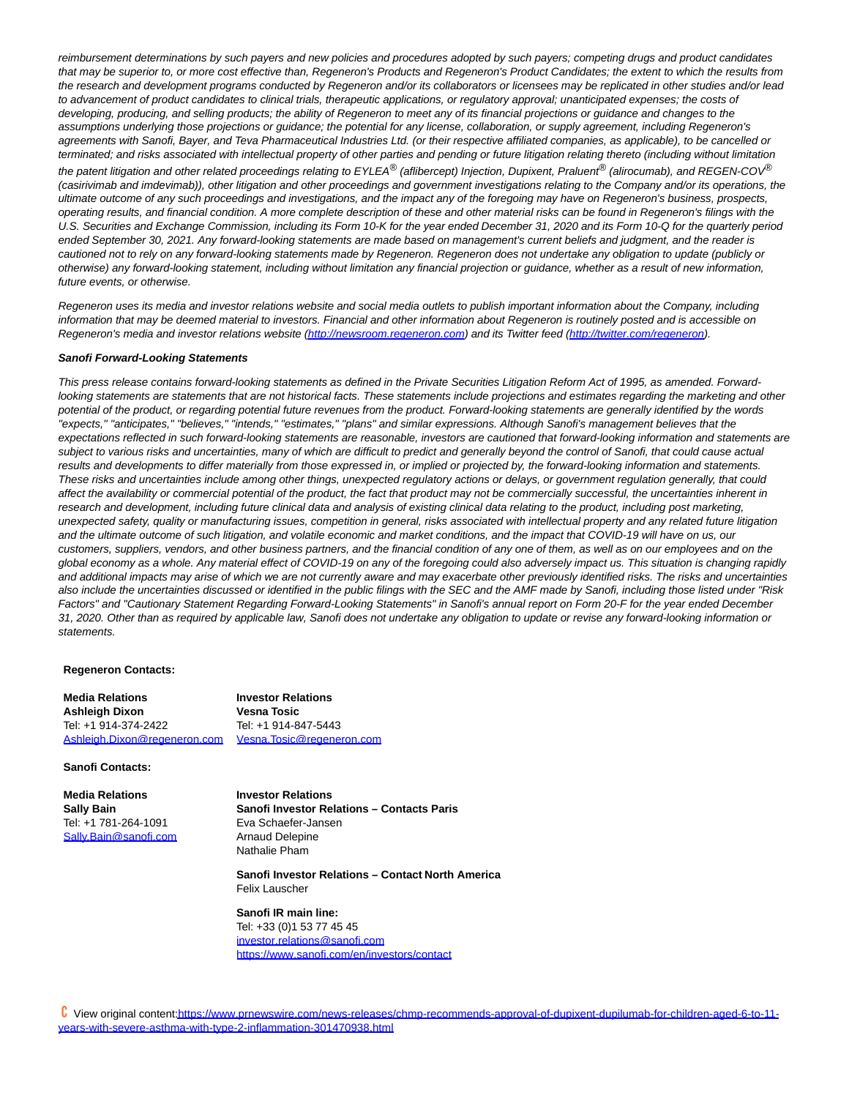reimbursement determinations by such payers and new policies and procedures adopted by such payers; competing drugs and product candidates that may be superior to, or more cost effective than, Regeneron's Products and Regeneron's Product Candidates; the extent to which the results from the research and development programs conducted by Regeneron and/or its collaborators or licensees may be replicated in other studies and/or lead to advancement of product candidates to clinical trials, therapeutic applications, or regulatory approval; unanticipated expenses; the costs of developing, producing, and selling products; the ability of Regeneron to meet any of its financial projections or guidance and changes to the assumptions underlying those projections or guidance; the potential for any license, collaboration, or supply agreement, including Regeneron's agreements with Sanofi, Bayer, and Teva Pharmaceutical Industries Ltd. (or their respective affiliated companies, as applicable), to be cancelled or terminated; and risks associated with intellectual property of other parties and pending or future litigation relating thereto (including without limitation the patent litigation and other related proceedings relating to EYLEA® (aflibercept) Injection, Dupixent, Praluent<sup>®</sup> (alirocumab), and REGEN-COV<sup>®</sup> (casirivimab and imdevimab)), other litigation and other proceedings and government investigations relating to the Company and/or its operations, the ultimate outcome of any such proceedings and investigations, and the impact any of the foregoing may have on Regeneron's business, prospects, operating results, and financial condition. A more complete description of these and other material risks can be found in Regeneron's filings with the U.S. Securities and Exchange Commission, including its Form 10-K for the year ended December 31, 2020 and its Form 10-Q for the quarterly period ended September 30, 2021. Any forward-looking statements are made based on management's current beliefs and judgment, and the reader is cautioned not to rely on any forward-looking statements made by Regeneron. Regeneron does not undertake any obligation to update (publicly or otherwise) any forward-looking statement, including without limitation any financial projection or guidance, whether as a result of new information, future events, or otherwise.

Regeneron uses its media and investor relations website and social media outlets to publish important information about the Company, including information that may be deemed material to investors. Financial and other information about Regeneron is routinely posted and is accessible on Regeneron's media and investor relations website [\(http://newsroom.regeneron.com\)](https://c212.net/c/link/?t=0&l=en&o=3426920-1&h=2894873357&u=http%3A%2F%2Fnewsroom.regeneron.com%2F&a=http%3A%2F%2Fnewsroom.regeneron.com) and its Twitter feed [\(http://twitter.com/regeneron\).](https://c212.net/c/link/?t=0&l=en&o=3426920-1&h=1278651645&u=http%3A%2F%2Ftwitter.com%2Fregeneron&a=http%3A%2F%2Ftwitter.com%2Fregeneron)

#### **Sanofi Forward-Looking Statements**

This press release contains forward-looking statements as defined in the Private Securities Litigation Reform Act of 1995, as amended. Forwardlooking statements are statements that are not historical facts. These statements include projections and estimates regarding the marketing and other potential of the product, or regarding potential future revenues from the product. Forward-looking statements are generally identified by the words "expects," "anticipates," "believes," "intends," "estimates," "plans" and similar expressions. Although Sanofi's management believes that the expectations reflected in such forward-looking statements are reasonable, investors are cautioned that forward-looking information and statements are subject to various risks and uncertainties, many of which are difficult to predict and generally beyond the control of Sanofi, that could cause actual results and developments to differ materially from those expressed in, or implied or projected by, the forward-looking information and statements. These risks and uncertainties include among other things, unexpected regulatory actions or delays, or government regulation generally, that could affect the availability or commercial potential of the product, the fact that product may not be commercially successful, the uncertainties inherent in research and development, including future clinical data and analysis of existing clinical data relating to the product, including post marketing, unexpected safety, quality or manufacturing issues, competition in general, risks associated with intellectual property and any related future litigation and the ultimate outcome of such litigation, and volatile economic and market conditions, and the impact that COVID-19 will have on us, our customers, suppliers, vendors, and other business partners, and the financial condition of any one of them, as well as on our employees and on the global economy as a whole. Any material effect of COVID-19 on any of the foregoing could also adversely impact us. This situation is changing rapidly and additional impacts may arise of which we are not currently aware and may exacerbate other previously identified risks. The risks and uncertainties also include the uncertainties discussed or identified in the public filings with the SEC and the AMF made by Sanofi, including those listed under "Risk Factors" and "Cautionary Statement Regarding Forward-Looking Statements" in Sanofi's annual report on Form 20-F for the year ended December 31, 2020. Other than as required by applicable law, Sanofi does not undertake any obligation to update or revise any forward-looking information or statements.

#### **Regeneron Contacts:**

| <b>Media Relations</b>       | <b>Investor Relations</b> |
|------------------------------|---------------------------|
| <b>Ashleigh Dixon</b>        | <b>Vesna Tosic</b>        |
| Tel: +1 914-374-2422         | Tel: +1 914-847-5443      |
| Ashleigh.Dixon@regeneron.com | Vesna.Tosic@regeneron.com |

**Sanofi Contacts:**

**Media Relations Sally Bain** Tel: +1 781-264-1091 [Sally.Bain@sanofi.com](mailto:Sally.Bain@sanofi.com)

**Investor Relations Sanofi Investor Relations – Contacts Paris** Eva Schaefer-Jansen Arnaud Delepine Nathalie Pham

**Sanofi Investor Relations – Contact North America** Felix Lauscher

**Sanofi IR main line:** Tel: +33 (0)1 53 77 45 45 [investor.relations@sanofi.com](mailto:investor.relations@sanofi.com) [https://www.sanofi.com/en/investors/contact](https://c212.net/c/link/?t=0&l=en&o=3426920-1&h=1993482986&u=https%3A%2F%2Fwww.sanofi.com%2Fen%2Finvestors%2Fcontact&a=https%3A%2F%2Fwww.sanofi.com%2Fen%2Finvestors%2Fcontact)